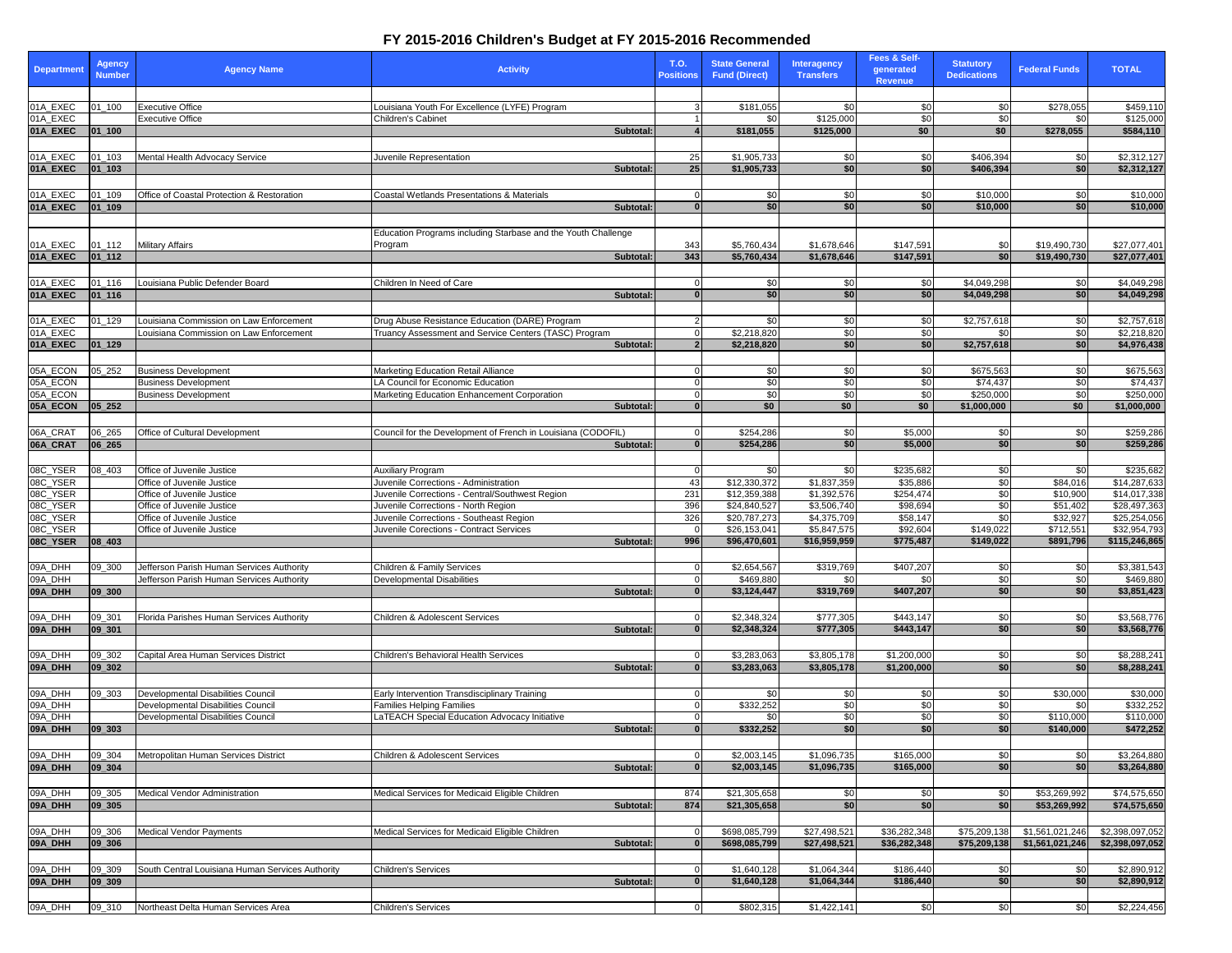| <b>Department</b>    | <b>Agency</b><br><b>Number</b> | <b>Agency Name</b>                                                                     | <b>Activity</b>                                                                                         | T.O.<br><b>Positions</b> | <b>State General</b><br><b>Fund (Direct)</b> | <b>Interagency</b><br><b>Transfers</b> | Fees & Self-<br>generated<br><b>Revenue</b> | <b>Statutory</b><br><b>Dedications</b> | <b>Federal Funds</b>         | <b>TOTAL</b>                       |
|----------------------|--------------------------------|----------------------------------------------------------------------------------------|---------------------------------------------------------------------------------------------------------|--------------------------|----------------------------------------------|----------------------------------------|---------------------------------------------|----------------------------------------|------------------------------|------------------------------------|
|                      |                                |                                                                                        |                                                                                                         |                          |                                              |                                        |                                             |                                        |                              |                                    |
| 01A_EXEC<br>01A_EXEC | $01 - 100$                     | <b>Executive Office</b><br><b>Executive Office</b>                                     | Louisiana Youth For Excellence (LYFE) Program<br><b>Children's Cabinet</b>                              |                          | \$181,055<br>\$0                             | \$0<br>\$125,000                       | \$0<br>\$0                                  | \$0<br>\$0                             | \$278,055<br>\$0             | \$459,110<br>\$125,000             |
| 01A_EXEC             | $ 01 $ 100                     |                                                                                        | <b>Subtotal:</b>                                                                                        |                          | \$181,055                                    | \$125,000                              | \$0                                         | \$0                                    | \$278,055                    | \$584,110                          |
|                      |                                |                                                                                        |                                                                                                         |                          |                                              |                                        |                                             |                                        |                              |                                    |
| 01A_EXEC             | 01_103                         | Mental Health Advocacy Service                                                         | Juvenile Representation                                                                                 | 25                       | \$1,905,733                                  | \$0                                    | \$0                                         | \$406,394                              | \$0                          | \$2,312,127                        |
| 01A_EXEC             | $ 01$ 103                      |                                                                                        | <b>Subtotal:</b>                                                                                        | 25                       | \$1,905,733                                  | \$0                                    | \$0                                         | \$406,394                              | \$0                          | \$2,312,127                        |
| 01A_EXEC             | 01_109                         | Office of Coastal Protection & Restoration                                             | <b>Coastal Wetlands Presentations &amp; Materials</b>                                                   |                          | -\$0                                         | \$0                                    | \$0                                         | \$10,000                               | \$0                          | \$10,000                           |
| 01A_EXEC             | $ 01$ 109                      |                                                                                        | <b>Subtotal:</b>                                                                                        |                          | \$0                                          | \$0                                    | \$0                                         | \$10,000                               | \$0]                         | \$10,000                           |
|                      |                                |                                                                                        |                                                                                                         |                          |                                              |                                        |                                             |                                        |                              |                                    |
|                      |                                |                                                                                        | Education Programs including Starbase and the Youth Challenge                                           |                          |                                              |                                        |                                             |                                        |                              |                                    |
| 01A_EXEC<br>01A_EXEC | $01 - 112$<br>$ 01_112 $       | <b>Military Affairs</b>                                                                | Program<br>Subtotal:                                                                                    | 343<br>343               | \$5,760,434<br>\$5,760,434                   | \$1,678,646<br>\$1,678,646             | \$147,591<br>\$147,591                      | \$0<br>\$0                             | \$19,490,730<br>\$19,490,730 | \$27,077,401<br>\$27,077,401       |
|                      |                                |                                                                                        |                                                                                                         |                          |                                              |                                        |                                             |                                        |                              |                                    |
| 01A_EXEC             | 01_116                         | Louisiana Public Defender Board                                                        | Children In Need of Care                                                                                |                          | \$0                                          | \$0                                    | \$0                                         | \$4,049,298                            | \$0                          | \$4,049,298                        |
| 01A_EXEC             | $ 01$ 116                      |                                                                                        | <b>Subtotal</b>                                                                                         |                          | \$0                                          | \$0                                    | \$0                                         | \$4,049,298                            | \$0                          | \$4,049,298                        |
|                      |                                |                                                                                        |                                                                                                         |                          |                                              |                                        |                                             |                                        |                              |                                    |
| 01A_EXEC<br>01A_EXEC | $01 - 129$                     | Louisiana Commission on Law Enforcement<br>Louisiana Commission on Law Enforcement     | Drug Abuse Resistance Education (DARE) Program<br>Truancy Assessment and Service Centers (TASC) Program |                          | \$0<br>$\sqrt{$2,218,820}$                   | \$0<br>\$0                             | \$0<br>\$0                                  | \$2,757,618<br>-\$0                    | \$0<br>\$0                   | \$2,757,618<br>\$2,218,820         |
| 01A_EXEC             | $ 01$ 129                      |                                                                                        | Subtotal:                                                                                               |                          | \$2,218,820                                  | \$0                                    | \$0                                         | \$2,757,618                            | \$0                          | \$4,976,438                        |
|                      |                                |                                                                                        |                                                                                                         |                          |                                              |                                        |                                             |                                        |                              |                                    |
| 05A_ECON             | 05_252                         | <b>Business Development</b>                                                            | Marketing Education Retail Alliance                                                                     |                          | \$0                                          | \$0                                    | \$0                                         | \$675,563                              | \$0                          | \$675,563                          |
| 05A_ECON             |                                | <b>Business Development</b>                                                            | LA Council for Economic Education                                                                       |                          | $\frac{1}{20}$                               | \$0                                    | \$0                                         | \$74,437                               | \$0                          | \$74,437                           |
| 05A_ECON<br>05A_ECON | $ 05 \t252 $                   | <b>Business Development</b>                                                            | Marketing Education Enhancement Corporation<br>Subtotal:                                                |                          | \$0<br>\$0                                   | \$0<br>\$0                             | \$0<br>\$0                                  | \$250,000<br>\$1,000,000               | \$0<br>\$0                   | \$250,000<br>\$1,000,000           |
|                      |                                |                                                                                        |                                                                                                         |                          |                                              |                                        |                                             |                                        |                              |                                    |
| 06A_CRAT             | 06_265                         | Office of Cultural Development                                                         | Council for the Development of French in Louisiana (CODOFIL)                                            |                          | \$254,286                                    | \$0                                    | \$5,000                                     | \$0                                    | \$0                          | \$259,286                          |
| 06A_CRAT             | $ 06 \t265$                    |                                                                                        | <b>Subtotal:</b>                                                                                        |                          | \$254,286                                    | \$0                                    | \$5,000                                     | \$0                                    | \$0                          | \$259,286                          |
|                      |                                |                                                                                        |                                                                                                         |                          |                                              |                                        |                                             |                                        |                              |                                    |
| 08C_YSER             | 08_403                         | Office of Juvenile Justice                                                             | <b>Auxiliary Program</b>                                                                                |                          | <b>SO</b>                                    | \$0                                    | \$235,682                                   | \$0                                    | \$0                          | \$235,682                          |
| 08C_YSER<br>08C_YSER |                                | Office of Juvenile Justice<br>Office of Juvenile Justice                               | Juvenile Corrections - Administration<br>Juvenile Corrections - Central/Southwest Region                | -43<br>231               | \$12,330,372<br>\$12,359,388                 | \$1,837,359<br>\$1,392,576             | \$35,886<br>\$254,474                       | \$0<br>$\overline{30}$                 | \$84,016<br>\$10,900         | \$14,287,633<br>\$14,017,338       |
| 08C_YSER             |                                | Office of Juvenile Justice                                                             | Juvenile Corrections - North Region                                                                     | 396                      | \$24,840,527                                 | \$3,506,740                            | \$98,694                                    | $\overline{50}$                        | \$51,402                     | \$28,497,363                       |
| 08C_YSER             |                                | Office of Juvenile Justice                                                             | Juvenile Corrections - Southeast Region                                                                 | 326                      | \$20,787,273                                 | \$4,375,709                            | \$58,147                                    | \$0                                    | \$32,927                     | \$25,254,056                       |
| 08C_YSER             |                                | Office of Juvenile Justice                                                             | Juvenile Corections - Contract Services                                                                 |                          | \$26,153,041                                 | \$5,847,575                            | \$92,604                                    | \$149,022                              | \$712,551                    | \$32,954,793                       |
| 08C_YSER             | $ 08_403$                      |                                                                                        | Subtotal:                                                                                               | 996                      | \$96,470,601                                 | \$16,959,959                           | \$775,487                                   | \$149,022                              | \$891,796                    | \$115,246,865                      |
| 09A_DHH              | 09_300                         | Jefferson Parish Human Services Authority                                              | Children & Family Services                                                                              |                          | \$2,654,567                                  | \$319,769                              | \$407,207                                   | \$0                                    | \$0                          | \$3,381,543                        |
| 09A_DHH              |                                | Jefferson Parish Human Services Authority                                              | <b>Developmental Disabilities</b>                                                                       |                          | \$469,880                                    | \$0                                    | \$0                                         | \$0                                    | \$0                          | \$469,880                          |
| 09A_DHH              | 09 300                         |                                                                                        | Subtotal:                                                                                               |                          | \$3,124,447                                  | \$319,769                              | \$407,207                                   | \$0                                    | \$0 <sub>1</sub>             | \$3,851,423                        |
|                      |                                |                                                                                        |                                                                                                         |                          |                                              |                                        |                                             |                                        |                              |                                    |
| 09A_DHH              | 09_301                         | Florida Parishes Human Services Authority                                              | Children & Adolescent Services                                                                          |                          | \$2,348,324                                  | \$777,305                              | \$443,147                                   | \$0<br>\$0                             | \$0                          | \$3,568,776                        |
| 09A_DHH              | $ 09$ _301                     |                                                                                        | <b>Subtotal:</b>                                                                                        |                          | \$2,348,324                                  | \$777,305                              | \$443,147                                   |                                        | \$0                          | \$3,568,776                        |
| 09A_DHH              | 09_302                         | Capital Area Human Services District                                                   | Children's Behavioral Health Services                                                                   |                          | \$3,283,063                                  | \$3,805,178                            | \$1,200,000                                 | \$0                                    | \$0                          | \$8,288,241                        |
| 09A_DHH              | 09 302                         |                                                                                        | Subtotal:                                                                                               |                          | \$3,283,063                                  | \$3,805,178                            | \$1,200,000                                 | \$0                                    | \$0                          | \$8,288,241                        |
|                      |                                |                                                                                        |                                                                                                         |                          |                                              |                                        |                                             |                                        |                              |                                    |
| 09A_DHH              | 09_303                         | Developmental Disabilities Council                                                     | Early Intervention Transdisciplinary Training                                                           |                          | \$0                                          | \$0                                    | \$0                                         | \$0                                    | \$30,000                     | \$30,000                           |
| 09A_DHH<br>09A_DHH   |                                | <b>Developmental Disabilities Council</b><br><b>Developmental Disabilities Council</b> | <b>Families Helping Families</b><br>LaTEACH Special Education Advocacy Initiative                       |                          | \$332,252<br>\$0                             | \$0<br>\$0                             | $\sqrt{6}$<br>\$0                           | $\sqrt{6}$<br>\$0                      | \$0<br>\$110,000             | \$332,252<br>\$110,000             |
| 09A_DHH              | 09 303                         |                                                                                        | <b>Subtotal:</b>                                                                                        |                          | \$332,252                                    | \$0                                    | \$0                                         | \$0                                    | \$140,000                    | \$472,252                          |
|                      |                                |                                                                                        |                                                                                                         |                          |                                              |                                        |                                             |                                        |                              |                                    |
| 09A_DHH              | 09_304                         | Metropolitan Human Services District                                                   | <b>Children &amp; Adolescent Services</b>                                                               |                          | $\overline{$2,003,145}$                      | \$1,096,735                            | \$165,000                                   | \$0                                    | \$0                          | \$3,264,880                        |
| 09A_DHH              | $ 09 - 304$                    |                                                                                        | <b>Subtotal:</b>                                                                                        |                          | \$2,003,145                                  | \$1,096,735                            | \$165,000                                   | \$0                                    | \$0                          | \$3,264,880                        |
|                      | 09_305                         | Medical Vendor Administration                                                          | Medical Services for Medicaid Eligible Children                                                         |                          | \$21,305,658                                 |                                        |                                             |                                        | \$53,269,992                 | \$74,575,650                       |
| 09A_DHH<br>09A_DHH   | 09 305                         |                                                                                        | Subtotal:                                                                                               | 874<br>874               | \$21,305,658                                 | \$0<br>\$0                             | \$0<br>$ $ \$0                              | \$0<br>\$0                             | \$53,269,992                 | \$74,575,650                       |
|                      |                                |                                                                                        |                                                                                                         |                          |                                              |                                        |                                             |                                        |                              |                                    |
| 09A_DHH              | 09_306                         | <b>Medical Vendor Payments</b>                                                         | Medical Services for Medicaid Eligible Children                                                         |                          | \$698,085,799                                | \$27,498,521                           | \$36,282,348                                | \$75,209,138                           | \$1,561,021,246              | \$2,398,097,052                    |
| 09A_DHH              | 09 306                         |                                                                                        | Subtotal:                                                                                               |                          | \$698,085,799                                | \$27,498,521                           | \$36,282,348                                | \$75,209,138                           | \$1,561,021,246              | \$2,398,097,052                    |
|                      |                                |                                                                                        |                                                                                                         |                          |                                              |                                        |                                             |                                        |                              |                                    |
| 09A_DHH<br>09A_DHH   | 09_309<br> 09 309              | South Central Louisiana Human Services Authority                                       | <b>Children's Services</b><br><b>Subtotal:</b>                                                          |                          | $\sqrt{$1,640,128}$<br>\$1,640,128           | \$1,064,344<br>\$1,064,344             | \$186,440<br>\$186,440                      | \$0<br>\$0                             | \$0<br>$\sqrt{50}$           | $\sqrt{$2,890,912}$<br>\$2,890,912 |
|                      |                                |                                                                                        |                                                                                                         |                          |                                              |                                        |                                             |                                        |                              |                                    |
| 09A_DHH              | 09_310                         | Northeast Delta Human Services Area                                                    | <b>Children's Services</b>                                                                              |                          | \$802,315                                    | \$1,422,141                            | \$0                                         | \$0                                    | \$0                          | \$2,224,456                        |
|                      |                                |                                                                                        |                                                                                                         |                          |                                              |                                        |                                             |                                        |                              |                                    |

## **FY 2015-2016 Children's Budget at FY 2015-2016 Recommended**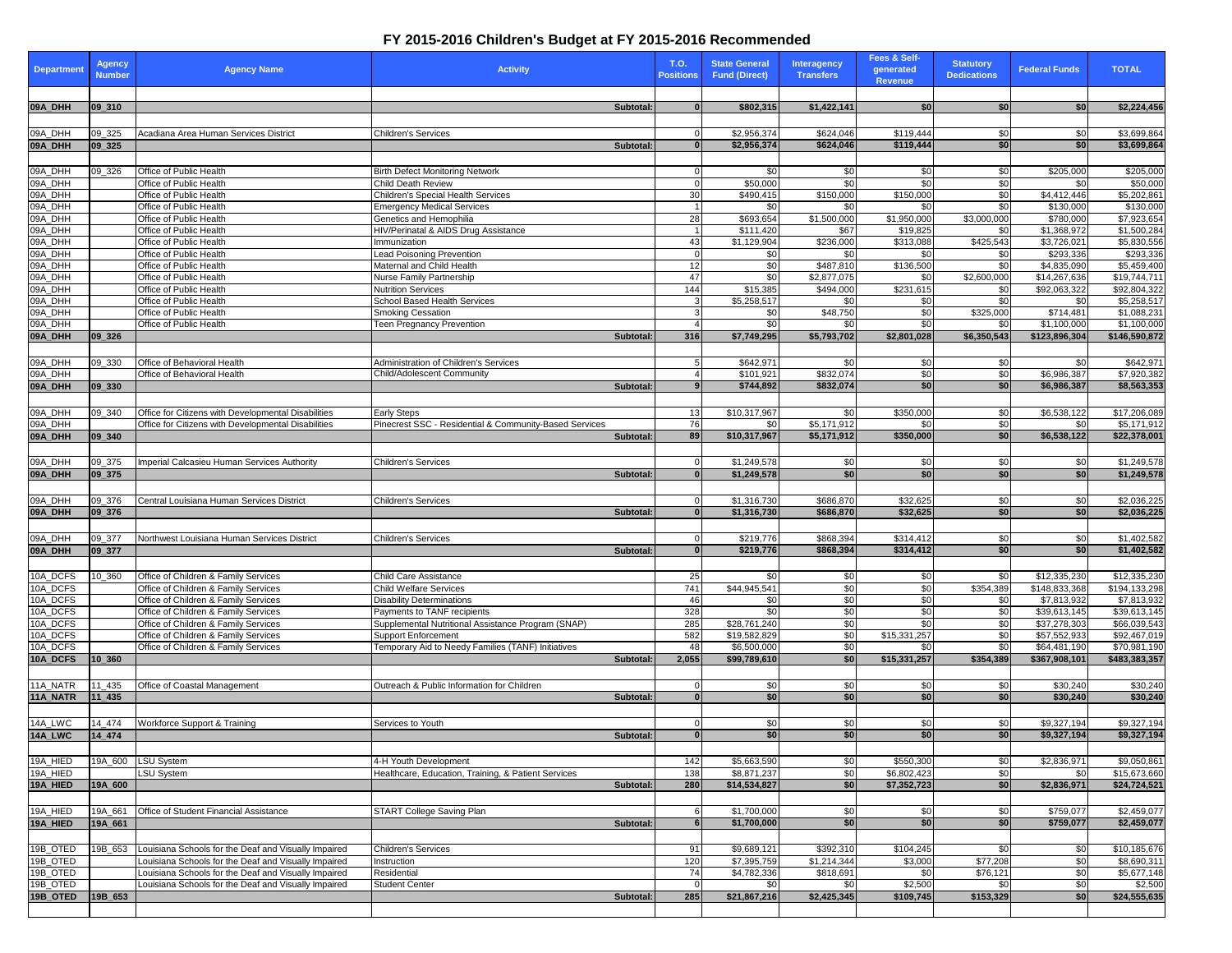## **FY 2015-2016 Children's Budget at FY 2015-2016 Recommended**

| Department                                          | <b>Agency</b><br><b>Number</b> | <b>Agency Name</b>                                                                                           | <b>Activity</b>                                                                  | T.O.<br><b>Positions</b> |                  | <b>State General</b><br><b>Fund (Direct)</b> | <b>Interagency</b><br><b>Transfers</b> | <b>Fees &amp; Self-</b><br>generated<br><b>Revenue</b> | <b>Statutory</b><br><b>Dedications</b> | <b>Federal Funds</b>         | <b>TOTAL</b>                             |
|-----------------------------------------------------|--------------------------------|--------------------------------------------------------------------------------------------------------------|----------------------------------------------------------------------------------|--------------------------|------------------|----------------------------------------------|----------------------------------------|--------------------------------------------------------|----------------------------------------|------------------------------|------------------------------------------|
| 09A_DHH                                             | 09 310                         |                                                                                                              | Subtotal:                                                                        |                          | $\Omega$         | \$802,315                                    | \$1,422,141                            | \$0 <sub>1</sub>                                       | \$0                                    | \$0                          | \$2,224,456                              |
| 09A_DHH                                             | $09 - 325$                     | Acadiana Area Human Services District                                                                        | <b>Children's Services</b>                                                       |                          |                  | \$2,956,374                                  | \$624,046                              | \$119,444                                              | \$0                                    | \$0                          | \$3,699,864                              |
| 09A_DHH                                             | $ 09 - 325$                    |                                                                                                              | <b>Subtotal:</b>                                                                 |                          |                  | \$2,956,374                                  | \$624,046                              | \$119,444                                              | \$0                                    | \$0                          | \$3,699,864                              |
|                                                     |                                |                                                                                                              |                                                                                  |                          |                  |                                              |                                        |                                                        |                                        |                              |                                          |
| 09A_DHH                                             | 09_326                         | Office of Public Health                                                                                      | <b>Birth Defect Monitoring Network</b>                                           |                          |                  | - \$0                                        | <b>SO</b>                              | \$0                                                    | \$0                                    | \$205,000                    | \$205,000                                |
| 09A_DHH                                             |                                | Office of Public Health                                                                                      | Child Death Review                                                               |                          |                  | \$50,000                                     | \$0                                    | \$0                                                    | $\frac{6}{3}$                          | \$0                          | \$50,000                                 |
| 09A_DHH<br>09A_DHH                                  |                                | Office of Public Health<br>Office of Public Health                                                           | <b>Children's Special Health Services</b><br><b>Emergency Medical Services</b>   |                          | 30               | \$490,415<br>\$0 <sub>1</sub>                | \$150,000<br>\$0                       | \$150,000<br>\$0                                       | $\overline{30}$<br>\$0                 | \$4,412,446<br>\$130,000     | \$5,202,861<br>\$130,000                 |
| 09A_DHH                                             |                                | Office of Public Health                                                                                      | Genetics and Hemophilia                                                          |                          | 28               | \$693,654                                    | \$1,500,000                            | \$1,950,000                                            | \$3,000,000                            | \$780,000                    | \$7,923,654                              |
| 09A_DHH                                             |                                | Office of Public Health                                                                                      | HIV/Perinatal & AIDS Drug Assistance                                             |                          |                  | \$111,420                                    | \$67                                   | \$19,825                                               | \$0                                    | \$1,368,972                  | \$1,500,284                              |
| 09A_DHH                                             |                                | Office of Public Health                                                                                      | Immunization                                                                     |                          | 43               | \$1,129,904                                  | \$236,000                              | \$313,088                                              | \$425,543                              | \$3,726,021                  | \$5,830,556                              |
| 09A_DHH                                             |                                | Office of Public Health                                                                                      | <b>Lead Poisoning Prevention</b>                                                 |                          |                  | \$0                                          | \$0                                    | \$0                                                    | \$0                                    | \$293,336                    | \$293,336                                |
|                                                     |                                | Office of Public Health                                                                                      | Maternal and Child Health                                                        |                          | 12               | \$0                                          | \$487,810                              | \$136,500                                              | $\frac{1}{50}$                         | \$4,835,090                  | \$5,459,400                              |
|                                                     |                                | Office of Public Health<br>Office of Public Health                                                           | Nurse Family Partnership<br><b>Nutrition Services</b>                            |                          | 47<br>144        | \$0<br>\$15,385                              | \$2,877,075<br>\$494,000               | \$0<br>\$231,615                                       | \$2,600,000<br>\$0                     | \$14,267,636<br>\$92,063,322 | \$19,744,711<br>$\overline{$92,804,322}$ |
|                                                     |                                | Office of Public Health                                                                                      | School Based Health Services                                                     |                          |                  | \$5,258,517                                  | \$0                                    | \$0                                                    | \$0                                    | \$0                          | \$5,258,517                              |
|                                                     |                                | Office of Public Health                                                                                      | <b>Smoking Cessation</b>                                                         |                          |                  | \$0                                          | \$48,750                               | \$0                                                    | \$325,000                              | \$714,481                    | \$1,088,231                              |
| 09A_DHH<br>09A_DHH<br>09A_DHH<br>09A_DHH<br>09A_DHH |                                | Office of Public Health                                                                                      | <b>Teen Pregnancy Prevention</b>                                                 |                          |                  | \$0                                          | \$0                                    | \$0                                                    | \$0                                    | \$1,100,000                  | \$1,100,000                              |
| 09A_DHH                                             | $ 09 \ 326$                    |                                                                                                              | Subtotal:                                                                        |                          | 316              | \$7,749,295                                  | \$5,793,702                            | \$2,801,028                                            | \$6,350,543                            | \$123,896,304                | \$146,590,872                            |
|                                                     |                                |                                                                                                              |                                                                                  |                          |                  |                                              |                                        |                                                        |                                        |                              |                                          |
| 09A_DHH                                             | 09_330                         | Office of Behavioral Health                                                                                  | <b>Administration of Children's Services</b>                                     |                          |                  | \$642,971                                    | \$0                                    | \$0                                                    | \$0                                    | \$0                          | \$642,971                                |
| 09A_DHH<br>09A_DHH                                  | $ 09$ 330                      | Office of Behavioral Health                                                                                  | Child/Adolescent Community<br>Subtotal:                                          |                          |                  | \$101,921<br>\$744,892                       | \$832,074<br>\$832,074                 | $\sqrt{30}$<br>\$0                                     | \$0<br>\$0                             | \$6,986,387<br>\$6,986,387   | \$7,920,382<br>\$8,563,353               |
|                                                     |                                |                                                                                                              |                                                                                  |                          |                  |                                              |                                        |                                                        |                                        |                              |                                          |
| 09A_DHH                                             | 09_340                         | Office for Citizens with Developmental Disabilities                                                          | <b>Early Steps</b>                                                               |                          | 13               | \$10,317,967                                 | \$0                                    | \$350,000                                              | \$0                                    | \$6,538,122                  | \$17,206,089                             |
| 09A_DHH                                             |                                | Office for Citizens with Developmental Disabilities                                                          | Pinecrest SSC - Residential & Community-Based Services                           |                          | 76               | \$0                                          | \$5,171,912                            | \$0                                                    | \$0                                    | \$0                          | \$5,171,912                              |
| 09A_DHH                                             | $ 09 - 340 $                   |                                                                                                              | Subtotal:                                                                        |                          | <b>89</b>        | \$10,317,967                                 | \$5,171,912                            | \$350,000                                              | \$0                                    | \$6,538,122                  | \$22,378,001                             |
|                                                     |                                |                                                                                                              |                                                                                  |                          |                  |                                              |                                        |                                                        |                                        |                              |                                          |
| 09A_DHH                                             | 09_375                         | Imperial Calcasieu Human Services Authority                                                                  | <b>Children's Services</b>                                                       |                          |                  | \$1,249,578                                  | \$0                                    | \$0                                                    | \$0                                    | \$0                          | \$1,249,578                              |
| 09A_DHH                                             | $ 09$ _375                     |                                                                                                              | <b>Subtotal:</b>                                                                 |                          |                  | \$1,249,578                                  | \$0                                    | \$0                                                    | \$0                                    | \$0                          | \$1,249,578                              |
|                                                     |                                |                                                                                                              |                                                                                  |                          |                  |                                              |                                        |                                                        |                                        |                              |                                          |
| 09A_DHH                                             | 09_376                         | Central Louisiana Human Services District                                                                    | Children's Services                                                              |                          |                  | \$1,316,730                                  | \$686,870                              | \$32,625                                               | \$0                                    | \$0                          | \$2,036,225                              |
| 09A_DHH                                             | 09, 376                        |                                                                                                              | Subtotal:                                                                        |                          |                  | \$1,316,730                                  | \$686,870                              | \$32,625                                               | \$0                                    | s <sub>0</sub>               | \$2,036,225                              |
| 09A_DHH                                             | 09_377                         | Northwest Louisiana Human Services District                                                                  | <b>Children's Services</b>                                                       |                          |                  | \$219,776                                    | \$868,394                              | \$314,412                                              | \$0                                    | \$0                          | \$1,402,582                              |
| 09A_DHH                                             | $ 09_377$                      |                                                                                                              | Subtotal:                                                                        |                          |                  | \$219,776                                    | \$868,394                              | \$314,412                                              | \$0                                    | \$0                          | \$1,402,582                              |
|                                                     |                                |                                                                                                              |                                                                                  |                          |                  |                                              |                                        |                                                        |                                        |                              |                                          |
| 10A_DCFS                                            | 10_360                         | Office of Children & Family Services                                                                         | <b>Child Care Assistance</b>                                                     |                          | 25               | \$0                                          | 30                                     | \$0                                                    | \$0                                    | \$12,335,230                 | \$12,335,230                             |
| 10A_DCFS                                            |                                | Office of Children & Family Services                                                                         | <b>Child Welfare Services</b>                                                    |                          | $\overline{741}$ | $\overline{$44,945,541}$                     | \$0                                    | $\sqrt{6}$                                             | \$354,389                              | \$148,833,368                | \$194,133,298                            |
| 10A_DCFS                                            |                                | Office of Children & Family Services                                                                         | <b>Disability Determinations</b>                                                 |                          | 46               | \$0                                          | 30                                     | \$0                                                    | \$0                                    | \$7,813,932                  | \$7,813,932                              |
| 10A_DCFS                                            |                                | Office of Children & Family Services                                                                         | Payments to TANF recipients                                                      |                          | 328              | \$0                                          | \$0                                    | $\sqrt{6}$                                             | $\overline{50}$                        | \$39,613,145                 | $\overline{$39,613,145}$                 |
| 10A_DCFS<br>10A_DCFS                                |                                | Office of Children & Family Services<br>Office of Children & Family Services                                 | Supplemental Nutritional Assistance Program (SNAP)<br><b>Support Enforcement</b> |                          | 285<br>582       | \$28,761,240<br>\$19,582,829                 | \$0<br>\$0                             | \$0<br>\$15,331,257                                    | \$0<br>\$0                             | \$37,278,303<br>\$57,552,933 | \$66,039,543<br>\$92,467,019             |
| 10A_DCFS                                            |                                | Office of Children & Family Services                                                                         | Temporary Aid to Needy Families (TANF) Initiatives                               |                          | 48               | \$6,500,000                                  | \$0                                    | \$0                                                    | $\overline{50}$                        | \$64,481,190                 | \$70,981,190                             |
| 10A_DCFS                                            | 10 360                         |                                                                                                              | <b>Subtotal:</b>                                                                 |                          | 2,055            | \$99,789,610                                 | \$0                                    | \$15,331,257                                           | \$354,389                              | \$367,908,101                | \$483,383,357                            |
|                                                     |                                |                                                                                                              |                                                                                  |                          |                  |                                              |                                        |                                                        |                                        |                              |                                          |
| 11A_NATR                                            | 11_435                         | Office of Coastal Management                                                                                 | Outreach & Public Information for Children                                       |                          |                  | <b>\$01</b>                                  | 30                                     | \$0                                                    | \$0                                    | \$30,240                     | \$30,240                                 |
| 11A_NATR                                            | $11 - 435$                     |                                                                                                              | Subtotal:                                                                        |                          |                  | \$0                                          | \$0                                    | \$0                                                    | \$0                                    | \$30,240                     | \$30,240                                 |
|                                                     |                                |                                                                                                              |                                                                                  |                          |                  |                                              |                                        |                                                        |                                        |                              |                                          |
| 14A_LWC                                             | 14_474                         | <b>Workforce Support &amp; Training</b>                                                                      | Services to Youth                                                                |                          | $\Omega$         | \$0                                          | \$0                                    | \$0                                                    | \$0<br>\$0                             | \$9,327,194                  | \$9,327,194                              |
| 14A_LWC                                             | $14_474$                       |                                                                                                              | Subtotal:                                                                        |                          |                  | \$0                                          | \$0                                    | \$0                                                    |                                        | \$9,327,194                  | \$9,327,194                              |
| 19A_HIED                                            | 19A_600                        | LSU System                                                                                                   | 4-H Youth Development                                                            |                          | 142              | \$5,663,590                                  | 30                                     | \$550,300                                              | \$0                                    | \$2,836,971                  | \$9,050,861                              |
| 19A_HIED                                            |                                | LSU System                                                                                                   | Healthcare, Education, Training, & Patient Services                              |                          | 138              | \$8,871,237                                  | \$0                                    | \$6,802,423                                            | $\frac{6}{5}$                          | \$0                          | \$15,673,660                             |
| 19A_HIED                                            | 19A_600                        |                                                                                                              | Subtotal:                                                                        |                          | 280              | \$14,534,827                                 | \$0                                    | \$7,352,723                                            | \$0                                    | \$2,836,971                  | \$24,724,521                             |
|                                                     |                                |                                                                                                              |                                                                                  |                          |                  |                                              |                                        |                                                        |                                        |                              |                                          |
| 19A_HIED                                            | 19A_661                        | <b>Office of Student Financial Assistance</b>                                                                | <b>START College Saving Plan</b>                                                 |                          |                  | \$1,700,000                                  | \$0                                    | \$0                                                    | \$0                                    | \$759,077                    | \$2,459,077                              |
| 19A_HIED                                            | 19A_661                        |                                                                                                              | Subtotal:                                                                        |                          |                  | \$1,700,000                                  | \$0                                    | \$0                                                    | \$0                                    | \$759,077                    | \$2,459,077                              |
|                                                     |                                |                                                                                                              |                                                                                  |                          |                  |                                              |                                        |                                                        |                                        |                              |                                          |
| 19B_OTED                                            | 19B_653                        | Louisiana Schools for the Deaf and Visually Impaired                                                         | <b>Children's Services</b>                                                       |                          | 91               | \$9,689,121                                  | \$392,310                              | \$104,245                                              | \$0                                    | \$0                          | \$10,185,676                             |
| 19B_OTED                                            |                                | Louisiana Schools for the Deaf and Visually Impaired                                                         | Instruction                                                                      |                          | 120<br>74        | \$7,395,759<br>\$4,782,336                   | \$1,214,344                            | \$3,000                                                | \$77,208                               | \$0                          | \$8,690,311                              |
| 19B_OTED<br>19B_OTED                                |                                | Louisiana Schools for the Deaf and Visually Impaired<br>Louisiana Schools for the Deaf and Visually Impaired | Residential<br><b>Student Center</b>                                             |                          |                  | \$0 <sub>1</sub>                             | \$818,691<br>\$0                       | \$0<br>\$2,500                                         | \$76,121<br>\$0                        | \$0<br>\$0                   | \$5,677,148<br>\$2,500                   |
| 19B_OTED                                            | 19B_653                        |                                                                                                              | Subtotal:                                                                        |                          | 285              | \$21,867,216                                 | \$2,425,345                            | \$109,745                                              | \$153,329                              | \$0                          | \$24,555,635                             |
|                                                     |                                |                                                                                                              |                                                                                  |                          |                  |                                              |                                        |                                                        |                                        |                              |                                          |
|                                                     |                                |                                                                                                              |                                                                                  |                          |                  |                                              |                                        |                                                        |                                        |                              |                                          |